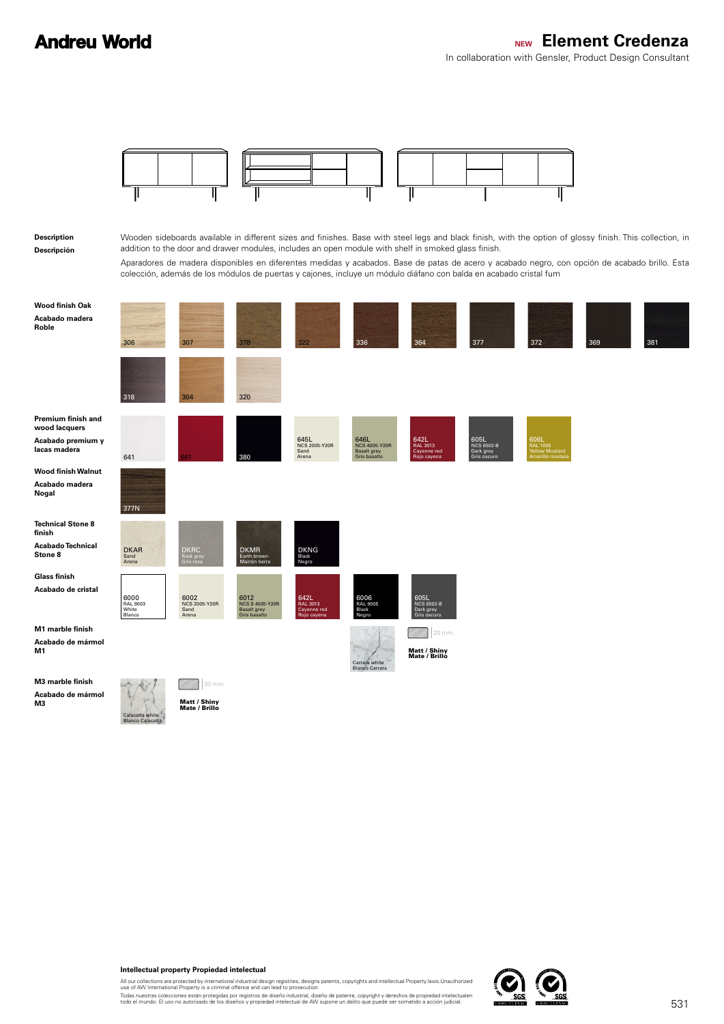

#### **Intellectual property Propiedad intelectual**

All our collections are protected by international industrial design registries, designs patents, copyrights and intellectual Property laws.Unauthorized<br>use of AW International Property is a criminal offence and can lead t

Todas nuestras colecciones están protegidas por registros de diseño industrial, diseño de patente, copyright y derechos de propiedad intelectualen<br>todo el mundo. El uso no autorizado de los diseños y propiedad intelectual

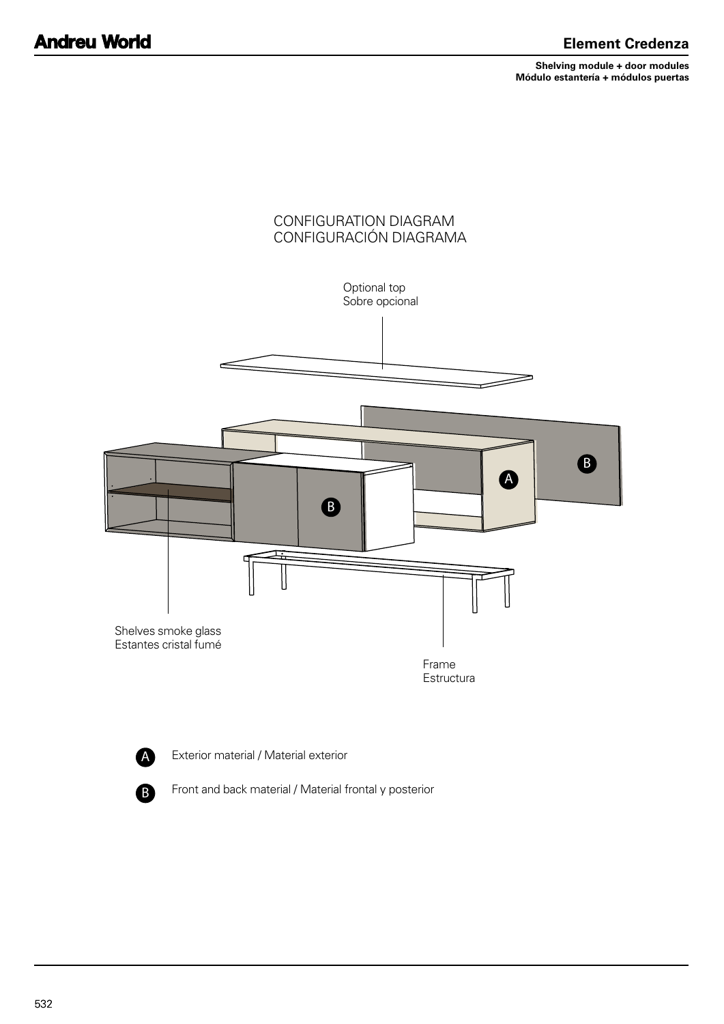**Shelving module + door modules Módulo estantería + módulos puertas**





Exterior material / Material exterior

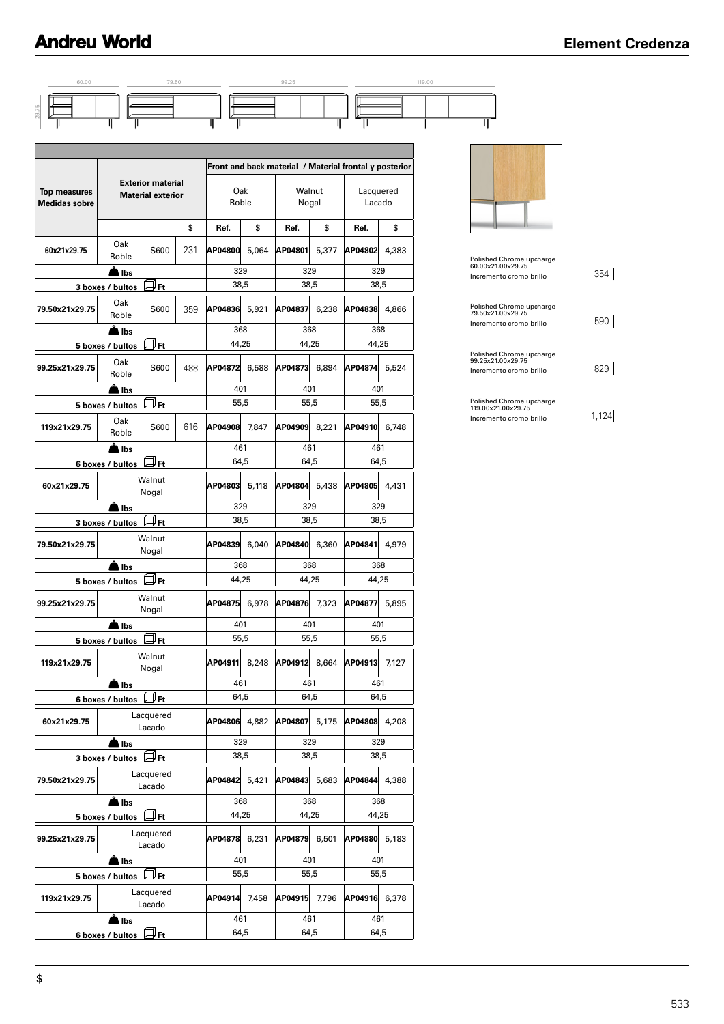

**lbs** 368 368 368

**lbs** 101 401 401 401 401

**lbs** 461 461 461 461

Lacado **AP04878** 6,231 **AP04879** 6,501 **AP04880** 5,183

Lacado **AP04914** 7,458 **AP04915** 7,796 **AP04916** 6,378

**5 boxes / bultos**  $\boxed{D}$  **Ft** 44,25 44,25 44,25

**5 boxes / bultos E Ft** 55,5 55,5 55,5

**6 boxes / bultos**  $\overline{\Box}$  **Ft** 64,5 64,5 64,5 64,5



|  | I |  |  |  |  |  |
|--|---|--|--|--|--|--|
|--|---|--|--|--|--|--|

**99.25x21x29.75** Lacquered

**119x21x29.75** Lacquered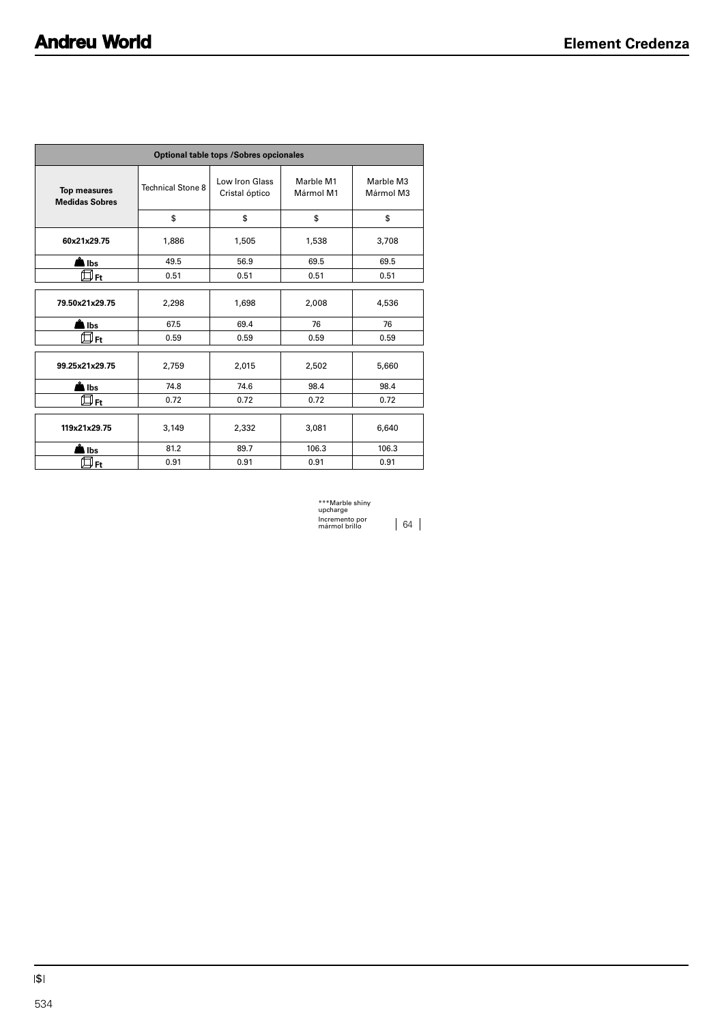| <b>Optional table tops /Sobres opcionales</b> |                          |                                  |                        |                        |  |
|-----------------------------------------------|--------------------------|----------------------------------|------------------------|------------------------|--|
| <b>Top measures</b><br><b>Medidas Sobres</b>  | <b>Technical Stone 8</b> | Low Iron Glass<br>Cristal óptico | Marble M1<br>Mármol M1 | Marble M3<br>Mármol M3 |  |
|                                               | \$                       | \$                               | \$                     | \$                     |  |
| 60x21x29.75                                   | 1,886                    | 1,505                            | 1,538                  | 3,708                  |  |
| in Ibs                                        | 49.5                     | 56.9                             | 69.5                   | 69.5                   |  |
| $\boxplus_{\textsf{Ft}}$                      | 0.51                     | 0.51                             | 0.51                   | 0.51                   |  |
| 79.50x21x29.75                                | 2,298                    | 1,698                            | 2,008                  | 4,536                  |  |
| lbs                                           | 67.5                     | 69.4                             | 76                     | 76                     |  |
| " Ft                                          | 0.59                     | 0.59                             | 0.59                   | 0.59                   |  |
| 99.25x21x29.75                                | 2,759                    | 2,015                            | 2,502                  | 5,660                  |  |
| lbs                                           | 74.8                     | 74.6                             | 98.4                   | 98.4                   |  |
|                                               | 0.72                     | 0.72                             | 0.72                   | 0.72                   |  |
| 119x21x29.75                                  | 3,149                    | 2,332                            | 3,081                  | 6,640                  |  |
| Ibs                                           | 81.2                     | 89.7                             | 106.3                  | 106.3                  |  |
| " Ft                                          | 0.91                     | 0.91                             | 0.91                   | 0.91                   |  |

| ***Marble shiny<br>upcharge     |    |  |
|---------------------------------|----|--|
| Incremento por<br>mármol brillo | 64 |  |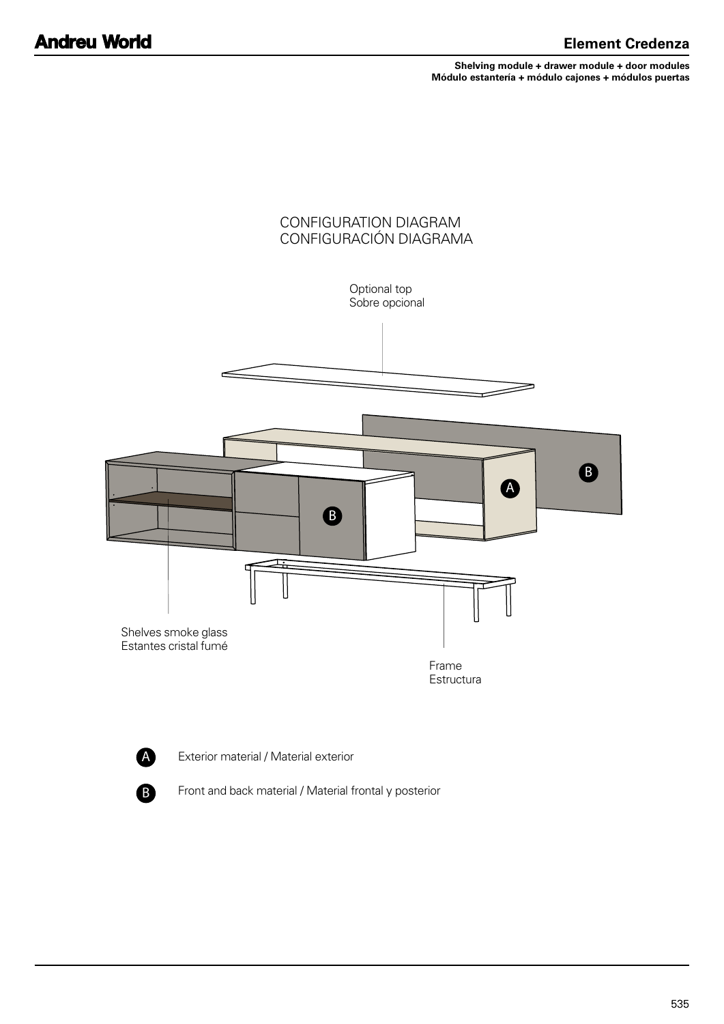**Shelving module + drawer module + door modules Módulo estantería + módulo cajones + módulos puertas**



A

Exterior material / Material exterior

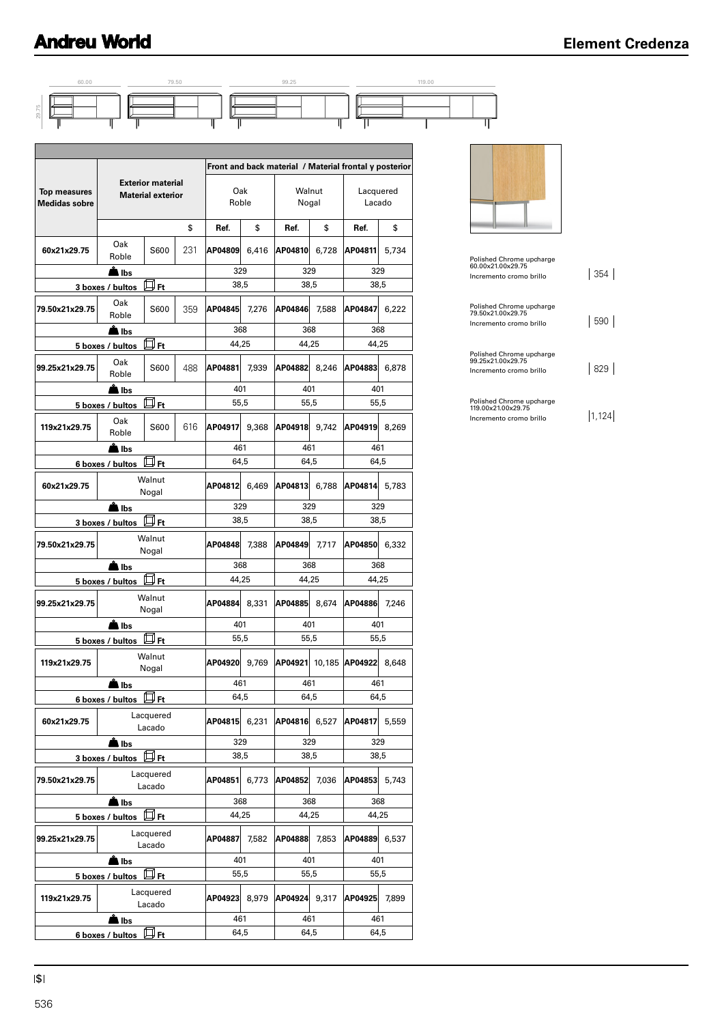

|                                             |                         |                                                      |     |              |       | Front and back material / Material frontal y posterior |        |                     |       |
|---------------------------------------------|-------------------------|------------------------------------------------------|-----|--------------|-------|--------------------------------------------------------|--------|---------------------|-------|
| <b>Top measures</b><br><b>Medidas sobre</b> |                         | <b>Exterior material</b><br><b>Material exterior</b> |     | Oak<br>Roble |       | Walnut<br>Nogal                                        |        | Lacquered<br>Lacado |       |
|                                             |                         |                                                      | \$  | Ref.         | \$    | Ref.                                                   | \$     | Ref.                | \$    |
| 60x21x29.75                                 | Oak<br>Roble            | S600                                                 | 231 | AP04809      | 6,416 | AP04810                                                | 6,728  | AP04811             | 5,734 |
|                                             | <b>■ Ibs</b>            |                                                      |     | 329          |       | 329                                                    |        | 329                 |       |
|                                             | 3 boxes / bultos        | 口 <sub>Ft</sub>                                      |     | 38,5         |       | 38,5                                                   |        | 38,5                |       |
| 79.50x21x29.75                              | Oak<br>Roble            | S600                                                 | 359 | AP04845      | 7.276 | AP04846                                                | 7.588  | AP04847             | 6,222 |
|                                             | <b>A</b> ∎lbs           |                                                      |     | 368          |       | 368                                                    |        | 368                 |       |
|                                             | 5 boxes / bultos        | 口 <sub>Ft</sub>                                      |     | 44,25        |       | 44,25                                                  |        | 44,25               |       |
| 99.25x21x29.75                              | Oak<br>Roble            | S600                                                 | 488 | AP04881      | 7.939 | AP04882                                                | 8,246  | AP04883             | 6,878 |
|                                             | å Ib <u>s</u>           |                                                      |     | 401          |       | 401                                                    |        | 401                 |       |
|                                             | 5 boxes / bultos        | $\square$ Ft                                         |     | 55,5         |       | 55,5                                                   |        | 55,5                |       |
| 119x21x29.75                                | Oak<br>Roble            | S600                                                 | 616 | AP04917      | 9,368 | AP04918                                                | 9,742  | AP04919             | 8,269 |
|                                             | ■ Ibs                   |                                                      |     | 461          |       | 461                                                    |        | 461                 |       |
|                                             | 6 boxes / bultos        | $\square$ Ft                                         |     | 64,5         |       | 64,5                                                   |        | 64,5                |       |
| 60x21x29.75                                 |                         | Walnut<br>Nogal                                      |     | AP04812      | 6,469 | AP04813                                                | 6,788  | AP04814             | 5,783 |
|                                             | <u>Å</u> lbs            |                                                      |     | 329          |       | 329                                                    |        | 329                 |       |
|                                             | 3 boxes / bultos        | $\boxplus$ Ft                                        |     | 38,5         |       | 38,5                                                   |        | 38,5                |       |
| 79.50x21x29.75                              |                         | Walnut<br>Nogal                                      |     | AP04848      | 7,388 | AP04849                                                | 7,717  | AP04850             | 6,332 |
|                                             | ll Ibs                  |                                                      |     | 368          |       | 368                                                    |        | 368                 |       |
|                                             | 5 boxes / bultos DFt    |                                                      |     | 44,25        |       | 44,25                                                  |        | 44,25               |       |
| 99.25x21x29.75                              |                         | Walnut<br>Nogal                                      |     | AP04884      | 8,331 | AP04885                                                | 8,674  | AP04886             | 7,246 |
|                                             | l Ibs                   |                                                      |     | 401          |       | 401                                                    |        | 401                 |       |
|                                             | 5 boxes / bultos        | $\boxplus$ Ft                                        |     | 55.5         |       | 55,5                                                   |        | 55,5                |       |
| 119x21x29.75                                |                         | Walnut<br>Nogal                                      |     | AP04920      | 9.769 | AP04921                                                | 10,185 | AP04922             | 8,648 |
|                                             | lbs                     |                                                      |     | 461<br>64,5  |       | 461<br>64,5                                            |        | 461<br>64,5         |       |
| 60x21x29.75                                 | 6 boxes / bultos        | 口 <sub>Ft</sub><br>Lacquered<br>Lacado               |     | AP04815      | 6,231 | AP04816 6,527                                          |        | AP04817             | 5,559 |
|                                             | llbs                    |                                                      |     | 329          |       | 329                                                    |        | 329                 |       |
|                                             | 3 boxes / bultos        | 口 <sub>Ft</sub>                                      |     | 38,5         |       | 38,5                                                   |        | 38,5                |       |
| 79.50x21x29.75                              |                         | Lacquered<br>Lacado                                  |     | AP04851      | 6,773 | AP04852                                                | 7,036  | AP04853             | 5,743 |
|                                             | lbs                     |                                                      |     | 368          |       | 368                                                    |        | 368                 |       |
|                                             | 5 boxes / bultos        | $\Box$ Ft                                            |     | 44,25        |       | 44,25                                                  |        | 44,25               |       |
| 99.25x21x29.75                              |                         | Lacquered<br>Lacado                                  |     | AP04887      | 7,582 | AP04888                                                | 7,853  | AP04889             | 6,537 |
|                                             | lbs                     |                                                      |     | 401          |       | 401                                                    |        | 401                 |       |
|                                             | 5 boxes / bultos [J] Ft |                                                      |     | 55,5         |       | 55,5                                                   |        | 55,5                |       |
| 119x21x29.75                                |                         | Lacquered<br>Lacado                                  |     | AP04923      | 8,979 | AP04924 9,317                                          |        | AP04925             | 7,899 |
|                                             | <b>A</b> lbs            |                                                      |     | 461          |       | 461                                                    |        | 461                 |       |
|                                             | 6 boxes / bultos HFt    |                                                      |     | 64,5         |       | 64,5                                                   |        | 64,5                |       |



| Polished Chrome upcharge<br>60.00x21.00x29.75<br>Incremento cromo brillo | 354 |
|--------------------------------------------------------------------------|-----|
| Polished Chrome upcharge<br>79.50x21.00x29.75<br>Incremento cromo brillo | 590 |
| Polished Chrome upcharge<br>99.25x21.00x29.75<br>Incremento cromo brillo | 829 |
| Polished Chrome upcharge<br>119.00x21.00x29.75                           |     |

 $\frac{119.00 \times 21.00 \times 29.75}{1000 \times 21.00 \times 21.00 \times 21.00 \times 21.00 \times 21.00 \times 21.00 \times 21.00 \times 21.00 \times 21.00 \times 21.00 \times 21.00 \times 21.00 \times 21.00 \times 21.00 \times 21.00 \times 21.00 \times 21.00 \times 21.00 \times 21.00 \times 21.00 \times 21.00 \times 21.00 \times 21.00 \times 21.$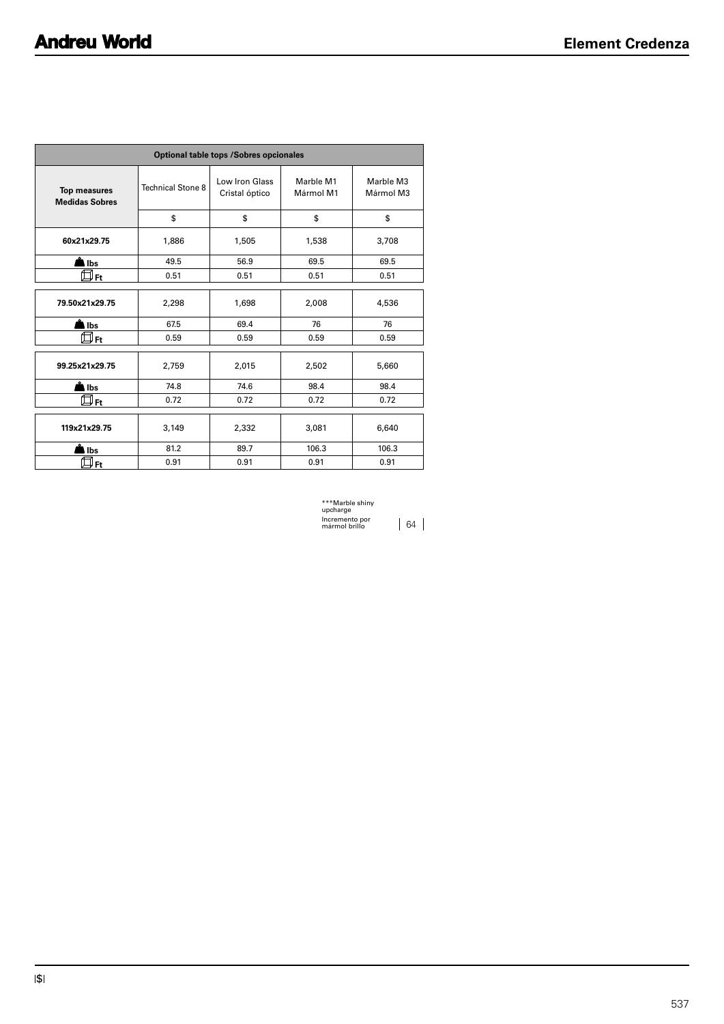| <b>Optional table tops /Sobres opcionales</b> |                          |                                  |                        |                        |  |
|-----------------------------------------------|--------------------------|----------------------------------|------------------------|------------------------|--|
| <b>Top measures</b><br><b>Medidas Sobres</b>  | <b>Technical Stone 8</b> | Low Iron Glass<br>Cristal óptico | Marble M1<br>Mármol M1 | Marble M3<br>Mármol M3 |  |
|                                               | \$                       | \$                               | \$                     | \$                     |  |
| 60x21x29.75                                   | 1,886                    | 1,505                            | 1,538                  | 3,708                  |  |
| in Ibs                                        | 49.5                     | 56.9                             | 69.5                   | 69.5                   |  |
| <u>U Ft</u>                                   | 0.51                     | 0.51                             | 0.51                   | 0.51                   |  |
| 79.50x21x29.75                                | 2,298                    | 1,698                            | 2,008                  | 4,536                  |  |
| lbs                                           | 67.5                     | 69.4                             | 76                     | 76                     |  |
| " Ft                                          | 0.59                     | 0.59                             | 0.59                   | 0.59                   |  |
| 99.25x21x29.75                                | 2,759                    | 2,015                            | 2,502                  | 5,660                  |  |
| lbs                                           | 74.8                     | 74.6                             | 98.4                   | 98.4                   |  |
| $\mathop{\boxplus}$ Ft                        | 0.72                     | 0.72                             | 0.72                   | 0.72                   |  |
| 119x21x29.75                                  | 3,149                    | 2,332                            | 3,081                  | 6,640                  |  |
| Ibs                                           | 81.2                     | 89.7                             | 106.3                  | 106.3                  |  |
| " Ft                                          | 0.91                     | 0.91                             | 0.91                   | 0.91                   |  |

| ***Marble shiny<br>upcharge     |  |
|---------------------------------|--|
| Incremento por<br>mármol hrillo |  |

mármol brillo 64

\$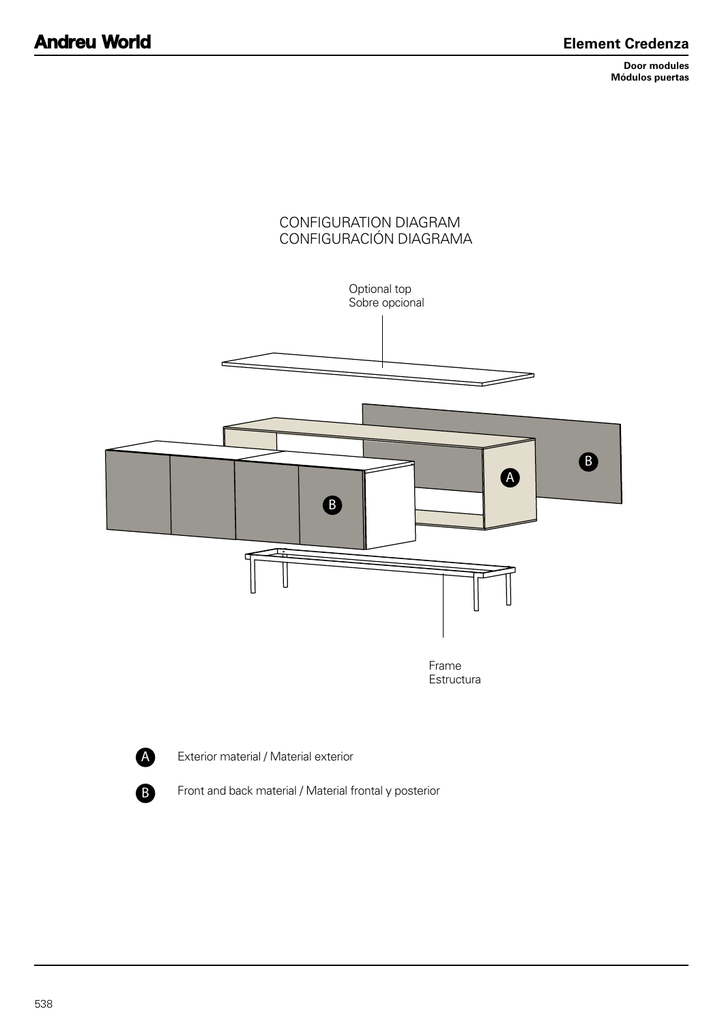**Door modules Módulos puertas**





Exterior material / Material exterior

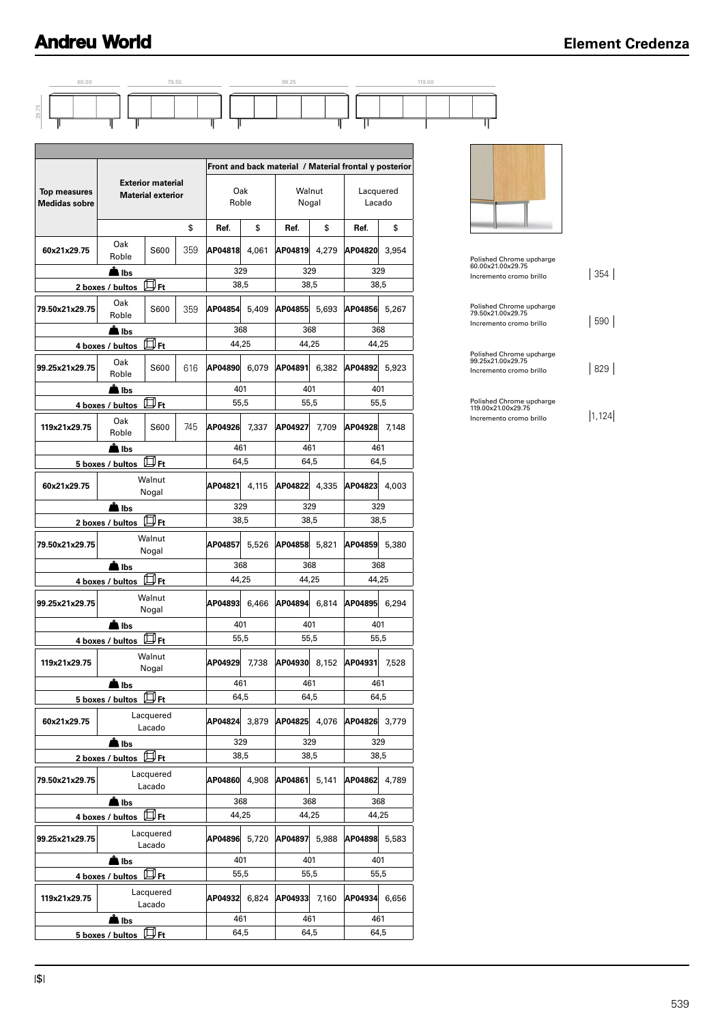



|  | │ |  |
|--|---|--|
|--|---|--|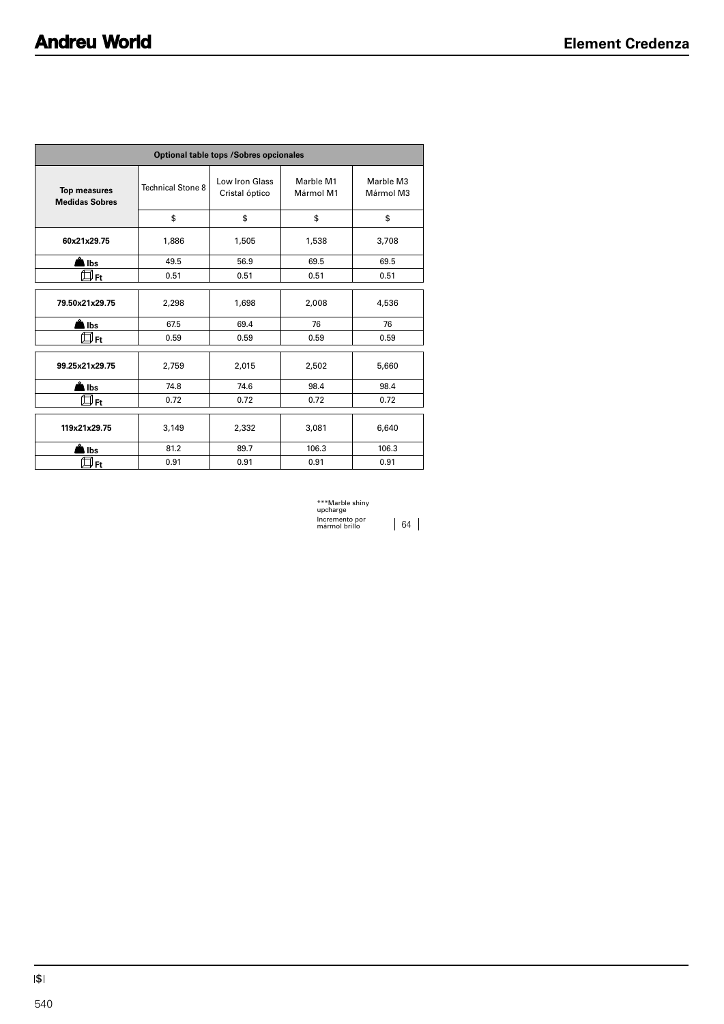| <b>Optional table tops /Sobres opcionales</b> |                          |                                  |                        |                        |  |
|-----------------------------------------------|--------------------------|----------------------------------|------------------------|------------------------|--|
| <b>Top measures</b><br><b>Medidas Sobres</b>  | <b>Technical Stone 8</b> | Low Iron Glass<br>Cristal óptico | Marble M1<br>Mármol M1 | Marble M3<br>Mármol M3 |  |
|                                               | \$                       | \$                               | \$                     | \$                     |  |
| 60x21x29.75                                   | 1,886                    | 1,505                            | 1,538                  | 3,708                  |  |
| in Ibs                                        | 49.5                     | 56.9                             | 69.5                   | 69.5                   |  |
| " Ft                                          | 0.51                     | 0.51                             | 0.51                   | 0.51                   |  |
|                                               |                          |                                  |                        |                        |  |
| 79.50x21x29.75                                | 2,298                    | 1,698                            | 2,008                  | 4,536                  |  |
| lbs                                           | 67.5                     | 69.4                             | 76                     | 76                     |  |
| " Ft                                          | 0.59                     | 0.59                             | 0.59                   | 0.59                   |  |
|                                               |                          |                                  |                        |                        |  |
| 99.25x21x29.75                                | 2,759                    | 2,015                            | 2,502                  | 5,660                  |  |
| lbs                                           | 74.8                     | 74.6                             | 98.4                   | 98.4                   |  |
| ⇒Ft                                           | 0.72                     | 0.72                             | 0.72                   | 0.72                   |  |
| 119x21x29.75                                  | 3,149                    | 2,332                            | 3,081                  | 6,640                  |  |
| Ibs                                           | 81.2                     | 89.7                             | 106.3                  | 106.3                  |  |
| " Ft                                          | 0.91                     | 0.91                             | 0.91                   | 0.91                   |  |

\*\*\*Marble shiny upcharge Incremento por mármol brillo 64

\$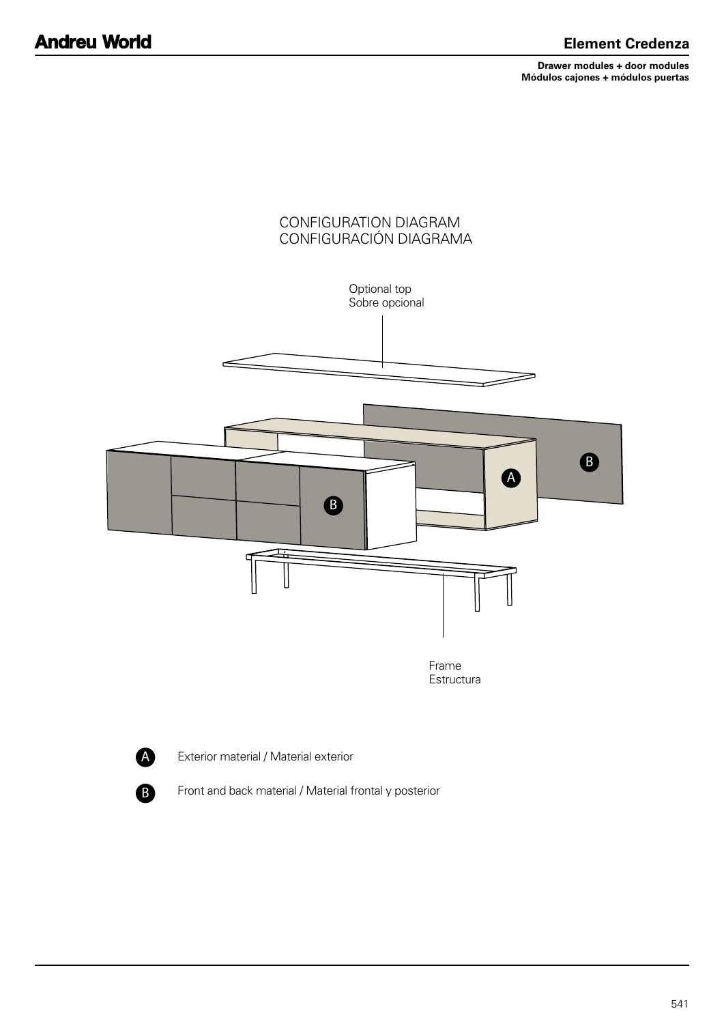**Drawer modules + door modules Módulos cajones + módulos puertas**





Exterior material / Material exterior

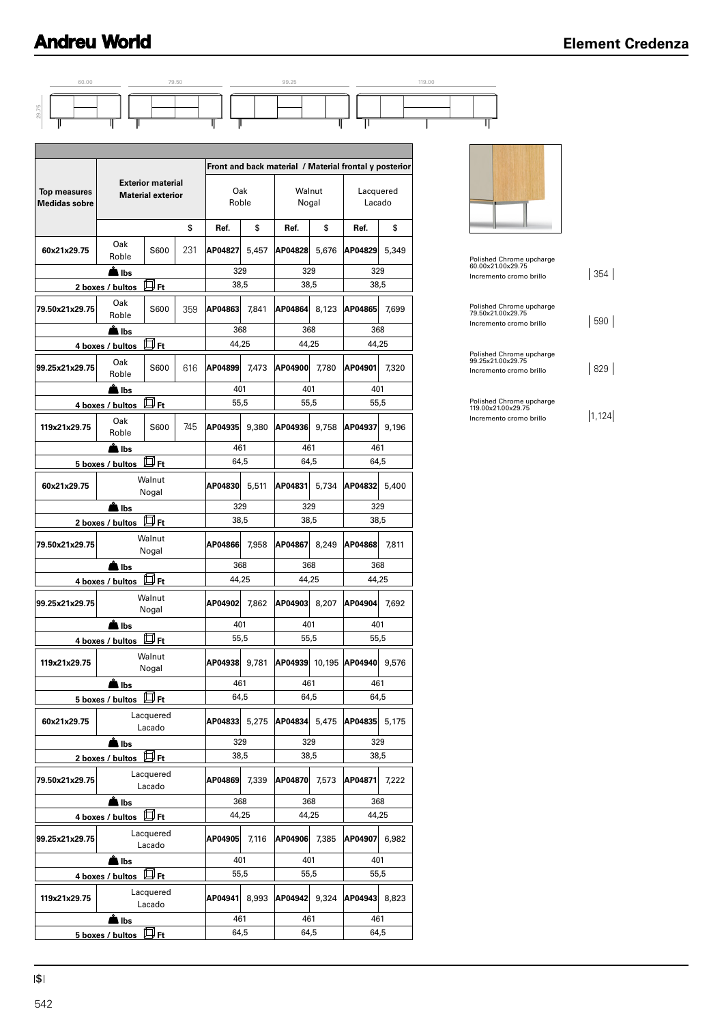